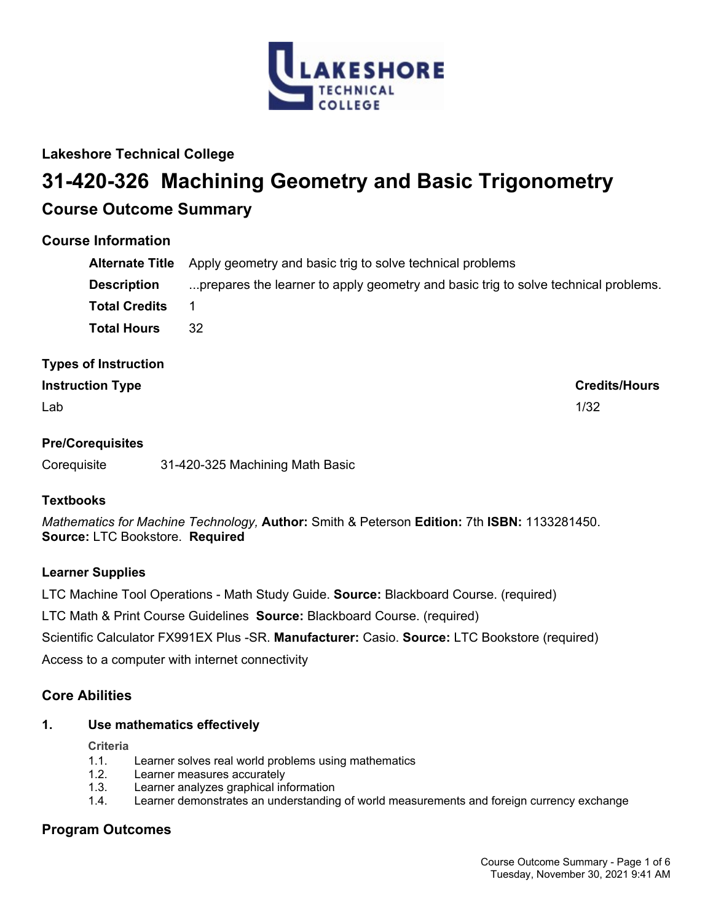

# **Lakeshore Technical College**

# **31-420-326 Machining Geometry and Basic Trigonometry Course Outcome Summary**

# **Course Information**

|                      | <b>Alternate Title</b> Apply geometry and basic trig to solve technical problems   |
|----------------------|------------------------------------------------------------------------------------|
| <b>Description</b>   | prepares the learner to apply geometry and basic trig to solve technical problems. |
| <b>Total Credits</b> |                                                                                    |
| <b>Total Hours</b>   | 32                                                                                 |

# **Types of Instruction**

# **Instruction Type Credits/Hours**

 $\mathsf{Lab}$  and the contract of the contract of the contract of the contract of the contract of the contract of the contract of the contract of the contract of the contract of the contract of the contract of the contract of

# **Pre/Corequisites**

Corequisite 31-420-325 Machining Math Basic

# **Textbooks**

*Mathematics for Machine Technology,* **Author:** Smith & Peterson **Edition:** 7th **ISBN:** 1133281450. **Source:** LTC Bookstore. **Required**

## **Learner Supplies**

LTC Machine Tool Operations - Math Study Guide. **Source:** Blackboard Course. (required)

LTC Math & Print Course Guidelines **Source:** Blackboard Course. (required)

Scientific Calculator FX991EX Plus -SR. **Manufacturer:** Casio. **Source:** LTC Bookstore (required)

Access to a computer with internet connectivity

# **Core Abilities**

## **1. Use mathematics effectively**

**Criteria**

- 1.1. Learner solves real world problems using mathematics
- 1.2. Learner measures accurately
- 1.3. Learner analyzes graphical information
- 1.4. Learner demonstrates an understanding of world measurements and foreign currency exchange

# **Program Outcomes**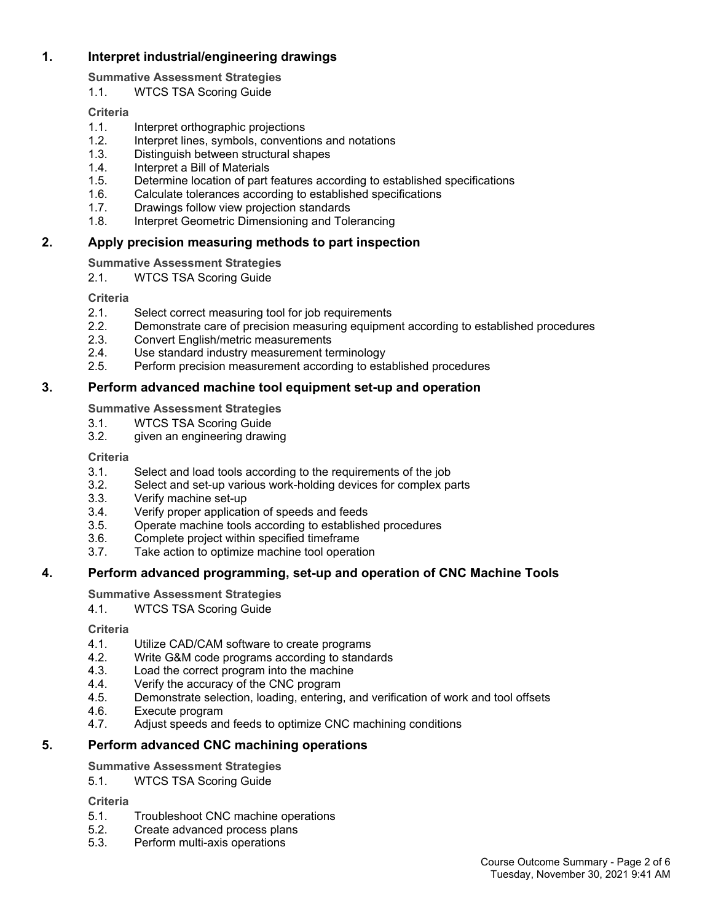# **1. Interpret industrial/engineering drawings**

**Summative Assessment Strategies**

1.1. WTCS TSA Scoring Guide

# **Criteria**

- 1.1. Interpret orthographic projections
- 1.2. Interpret lines, symbols, conventions and notations
- 1.3. Distinguish between structural shapes
- 1.4. Interpret a Bill of Materials
- 1.5. Determine location of part features according to established specifications
- 1.6. Calculate tolerances according to established specifications
- 1.7. Drawings follow view projection standards
- 1.8. Interpret Geometric Dimensioning and Tolerancing

# **2. Apply precision measuring methods to part inspection**

**Summative Assessment Strategies**

2.1. WTCS TSA Scoring Guide

**Criteria**

- 2.1. Select correct measuring tool for job requirements
- 2.2. Demonstrate care of precision measuring equipment according to established procedures
- 2.3. Convert English/metric measurements
- 2.4. Use standard industry measurement terminology
- 2.5. Perform precision measurement according to established procedures

# **3. Perform advanced machine tool equipment set-up and operation**

**Summative Assessment Strategies**

- 3.1. WTCS TSA Scoring Guide
- 3.2. given an engineering drawing

# **Criteria**

- 3.1. Select and load tools according to the requirements of the job
- 3.2. Select and set-up various work-holding devices for complex parts
- 3.3. Verify machine set-up
- 3.4. Verify proper application of speeds and feeds
- 3.5. Operate machine tools according to established procedures
- 3.6. Complete project within specified timeframe
- 3.7. Take action to optimize machine tool operation

# **4. Perform advanced programming, set-up and operation of CNC Machine Tools**

# **Summative Assessment Strategies**

4.1. WTCS TSA Scoring Guide

# **Criteria**

- 4.1. Utilize CAD/CAM software to create programs
- 4.2. Write G&M code programs according to standards
- 4.3. Load the correct program into the machine
- 4.4. Verify the accuracy of the CNC program
- 4.5. Demonstrate selection, loading, entering, and verification of work and tool offsets
- 4.6. Execute program
- 4.7. Adjust speeds and feeds to optimize CNC machining conditions

# **5. Perform advanced CNC machining operations**

# **Summative Assessment Strategies**

5.1. WTCS TSA Scoring Guide

# **Criteria**

- 5.1. Troubleshoot CNC machine operations
- 5.2. Create advanced process plans
- 5.3. Perform multi-axis operations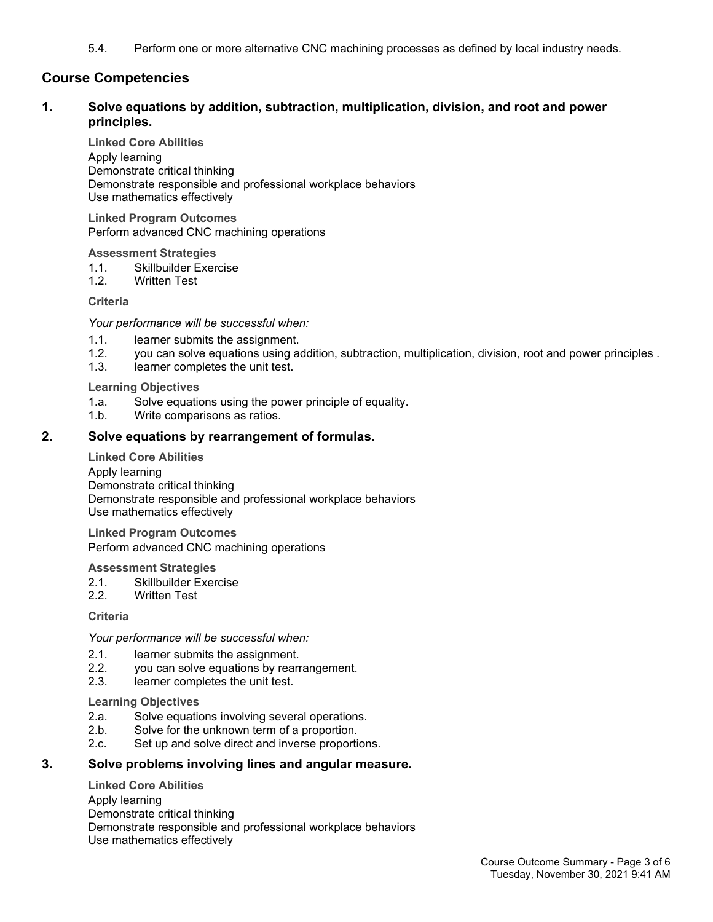5.4. Perform one or more alternative CNC machining processes as defined by local industry needs.

# **Course Competencies**

## **1. Solve equations by addition, subtraction, multiplication, division, and root and power principles.**

**Linked Core Abilities** Apply learning Demonstrate critical thinking Demonstrate responsible and professional workplace behaviors Use mathematics effectively

**Linked Program Outcomes** Perform advanced CNC machining operations

**Assessment Strategies**

- 1.1. Skillbuilder Exercise
- 1.2. Written Test

**Criteria**

*Your performance will be successful when:*

- 1.1. learner submits the assignment.
- 1.2. you can solve equations using addition, subtraction, multiplication, division, root and power principles .
- 1.3. learner completes the unit test.

**Learning Objectives**

- 1.a. Solve equations using the power principle of equality.
- 1.b. Write comparisons as ratios.

## **2. Solve equations by rearrangement of formulas.**

**Linked Core Abilities**

Apply learning Demonstrate critical thinking Demonstrate responsible and professional workplace behaviors Use mathematics effectively

**Linked Program Outcomes** Perform advanced CNC machining operations

**Assessment Strategies**

- 2.1. Skillbuilder Exercise<br>2.2. Written Test
- Written Test

**Criteria**

*Your performance will be successful when:*

- 2.1. learner submits the assignment.
- 2.2. you can solve equations by rearrangement.
- 2.3. learner completes the unit test.

**Learning Objectives**

- 2.a. Solve equations involving several operations.
- 2.b. Solve for the unknown term of a proportion.
- 2.c. Set up and solve direct and inverse proportions.

## **3. Solve problems involving lines and angular measure.**

**Linked Core Abilities** Apply learning Demonstrate critical thinking Demonstrate responsible and professional workplace behaviors Use mathematics effectively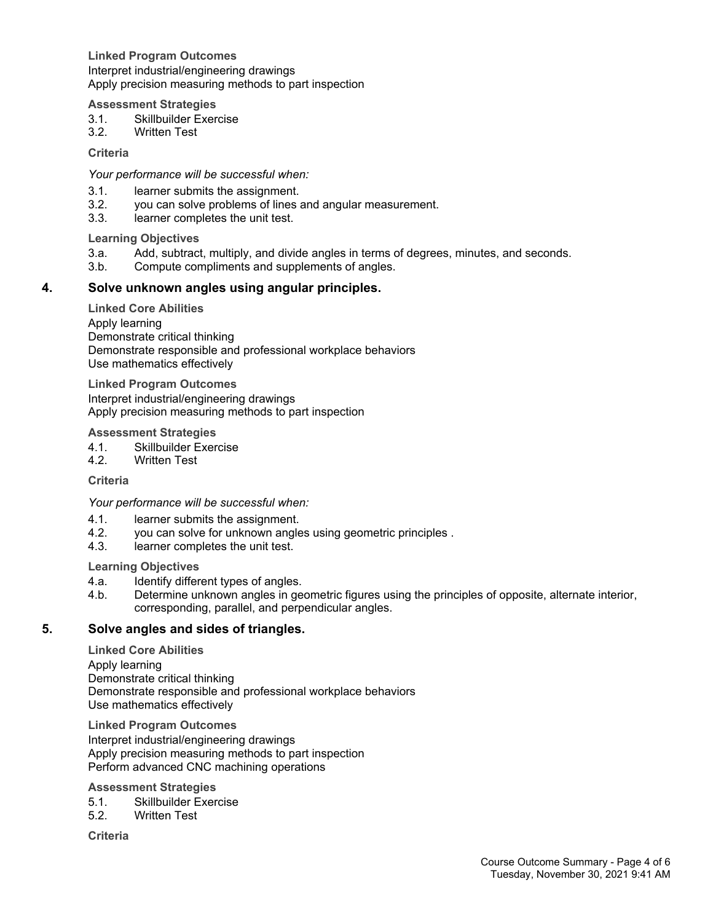**Linked Program Outcomes** Interpret industrial/engineering drawings Apply precision measuring methods to part inspection

#### **Assessment Strategies**

- 3.1. Skillbuilder Exercise
- 3.2. Written Test

**Criteria**

*Your performance will be successful when:*

- 3.1. learner submits the assignment.<br>3.2. vou can solve problems of lines
- you can solve problems of lines and angular measurement.
- 3.3. learner completes the unit test.

## **Learning Objectives**

- 3.a. Add, subtract, multiply, and divide angles in terms of degrees, minutes, and seconds.
- 3.b. Compute compliments and supplements of angles.

## **4. Solve unknown angles using angular principles.**

**Linked Core Abilities** Apply learning Demonstrate critical thinking Demonstrate responsible and professional workplace behaviors Use mathematics effectively

**Linked Program Outcomes** Interpret industrial/engineering drawings Apply precision measuring methods to part inspection

#### **Assessment Strategies**

- 4.1. Skillbuilder Exercise<br>4.2. Written Test
- **Written Test**

**Criteria**

*Your performance will be successful when:*

- 4.1. learner submits the assignment.
- 4.2. you can solve for unknown angles using geometric principles .<br>4.3. learner completes the unit test.
- learner completes the unit test.

**Learning Objectives**

- 4.a. Identify different types of angles.
- 4.b. Determine unknown angles in geometric figures using the principles of opposite, alternate interior, corresponding, parallel, and perpendicular angles.

## **5. Solve angles and sides of triangles.**

**Linked Core Abilities** Apply learning Demonstrate critical thinking Demonstrate responsible and professional workplace behaviors Use mathematics effectively

**Linked Program Outcomes** Interpret industrial/engineering drawings Apply precision measuring methods to part inspection Perform advanced CNC machining operations

#### **Assessment Strategies**

- 5.1. Skillbuilder Exercise
- 5.2. Written Test

**Criteria**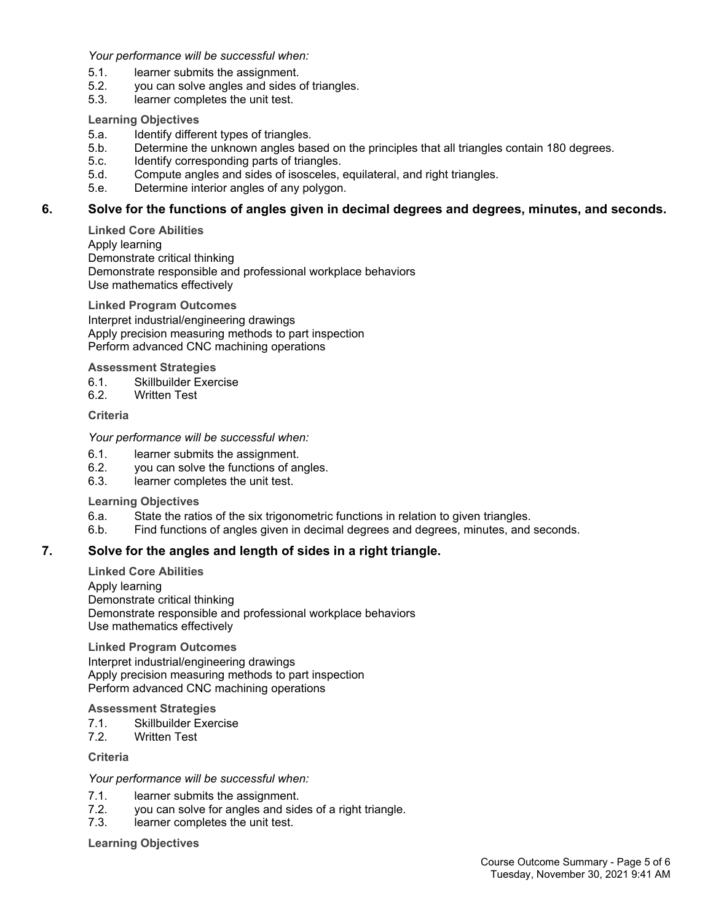*Your performance will be successful when:*

- 5.1. learner submits the assignment.
- 5.2. you can solve angles and sides of triangles.
- 5.3. learner completes the unit test.

### **Learning Objectives**

- 5.a. Identify different types of triangles.
- 5.b. Determine the unknown angles based on the principles that all triangles contain 180 degrees.
- 5.c. Identify corresponding parts of triangles.
- 5.d. Compute angles and sides of isosceles, equilateral, and right triangles.
- 5.e. Determine interior angles of any polygon.

## **6. Solve for the functions of angles given in decimal degrees and degrees, minutes, and seconds.**

**Linked Core Abilities** Apply learning Demonstrate critical thinking Demonstrate responsible and professional workplace behaviors Use mathematics effectively

**Linked Program Outcomes** Interpret industrial/engineering drawings Apply precision measuring methods to part inspection Perform advanced CNC machining operations

**Assessment Strategies**

- 6.1. Skillbuilder Exercise
- 6.2. Written Test

## **Criteria**

#### *Your performance will be successful when:*

- 6.1. learner submits the assignment.
- 6.2. you can solve the functions of angles.
- 6.3. learner completes the unit test.

#### **Learning Objectives**

- 6.a. State the ratios of the six trigonometric functions in relation to given triangles.
- 6.b. Find functions of angles given in decimal degrees and degrees, minutes, and seconds.

## **7. Solve for the angles and length of sides in a right triangle.**

**Linked Core Abilities** Apply learning Demonstrate critical thinking Demonstrate responsible and professional workplace behaviors Use mathematics effectively

**Linked Program Outcomes** Interpret industrial/engineering drawings Apply precision measuring methods to part inspection Perform advanced CNC machining operations

#### **Assessment Strategies**

- 7.1. Skillbuilder Exercise
- 7.2. Written Test

#### **Criteria**

#### *Your performance will be successful when:*

- 7.1. learner submits the assignment.
- 7.2. you can solve for angles and sides of a right triangle.
- 7.3. learner completes the unit test.

**Learning Objectives**